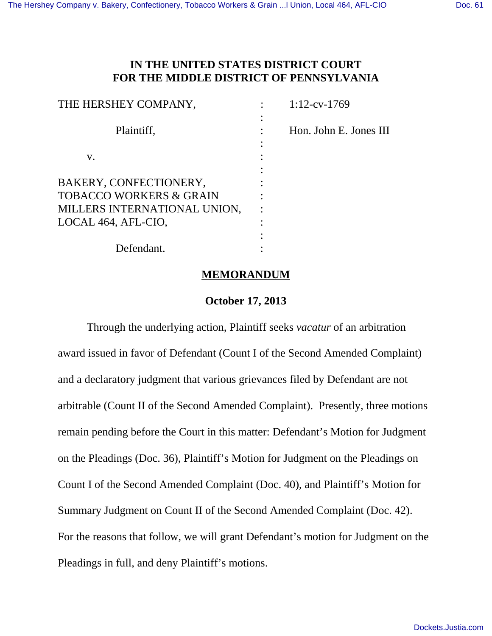# **IN THE UNITED STATES DISTRICT COURT FOR THE MIDDLE DISTRICT OF PENNSYLVANIA**

| THE HERSHEY COMPANY,               | $1:12$ -cv-1769        |
|------------------------------------|------------------------|
|                                    |                        |
| Plaintiff,                         | Hon. John E. Jones III |
|                                    |                        |
| V.                                 |                        |
|                                    |                        |
| BAKERY, CONFECTIONERY,             |                        |
| <b>TOBACCO WORKERS &amp; GRAIN</b> |                        |
| MILLERS INTERNATIONAL UNION,       |                        |
| LOCAL 464, AFL-CIO,                |                        |
|                                    |                        |
| Defendant.                         |                        |

#### **MEMORANDUM**

### **October 17, 2013**

Through the underlying action, Plaintiff seeks *vacatur* of an arbitration award issued in favor of Defendant (Count I of the Second Amended Complaint) and a declaratory judgment that various grievances filed by Defendant are not arbitrable (Count II of the Second Amended Complaint). Presently, three motions remain pending before the Court in this matter: Defendant's Motion for Judgment on the Pleadings (Doc. 36), Plaintiff's Motion for Judgment on the Pleadings on Count I of the Second Amended Complaint (Doc. 40), and Plaintiff's Motion for Summary Judgment on Count II of the Second Amended Complaint (Doc. 42). For the reasons that follow, we will grant Defendant's motion for Judgment on the Pleadings in full, and deny Plaintiff's motions.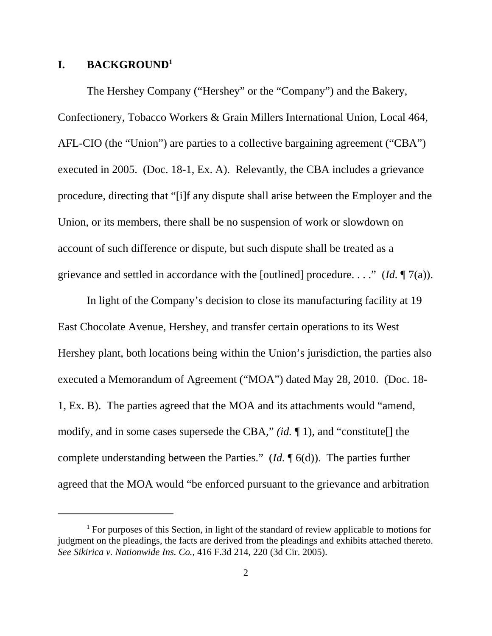## **I. BACKGROUND<sup>1</sup>**

The Hershey Company ("Hershey" or the "Company") and the Bakery, Confectionery, Tobacco Workers & Grain Millers International Union, Local 464, AFL-CIO (the "Union") are parties to a collective bargaining agreement ("CBA") executed in 2005. (Doc. 18-1, Ex. A). Relevantly, the CBA includes a grievance procedure, directing that "[i]f any dispute shall arise between the Employer and the Union, or its members, there shall be no suspension of work or slowdown on account of such difference or dispute, but such dispute shall be treated as a grievance and settled in accordance with the [outlined] procedure. . . ." (*Id.* ¶ 7(a)).

In light of the Company's decision to close its manufacturing facility at 19 East Chocolate Avenue, Hershey, and transfer certain operations to its West Hershey plant, both locations being within the Union's jurisdiction, the parties also executed a Memorandum of Agreement ("MOA") dated May 28, 2010. (Doc. 18- 1, Ex. B). The parties agreed that the MOA and its attachments would "amend, modify, and in some cases supersede the CBA," *(id.* ¶ 1), and "constitute[] the complete understanding between the Parties." (*Id.* ¶ 6(d)). The parties further agreed that the MOA would "be enforced pursuant to the grievance and arbitration

<sup>&</sup>lt;sup>1</sup> For purposes of this Section, in light of the standard of review applicable to motions for judgment on the pleadings, the facts are derived from the pleadings and exhibits attached thereto. *See Sikirica v. Nationwide Ins. Co.*, 416 F.3d 214, 220 (3d Cir. 2005).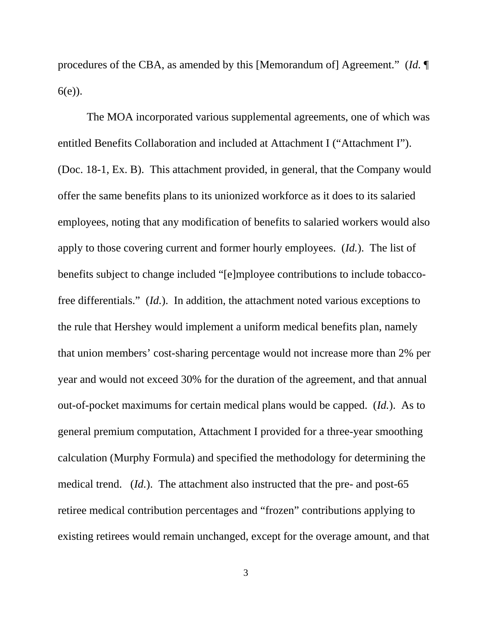procedures of the CBA, as amended by this [Memorandum of] Agreement." (*Id.* ¶ 6(e)).

The MOA incorporated various supplemental agreements, one of which was entitled Benefits Collaboration and included at Attachment I ("Attachment I"). (Doc. 18-1, Ex. B). This attachment provided, in general, that the Company would offer the same benefits plans to its unionized workforce as it does to its salaried employees, noting that any modification of benefits to salaried workers would also apply to those covering current and former hourly employees. (*Id.*). The list of benefits subject to change included "[e]mployee contributions to include tobaccofree differentials." (*Id.*). In addition, the attachment noted various exceptions to the rule that Hershey would implement a uniform medical benefits plan, namely that union members' cost-sharing percentage would not increase more than 2% per year and would not exceed 30% for the duration of the agreement, and that annual out-of-pocket maximums for certain medical plans would be capped. (*Id.*). As to general premium computation, Attachment I provided for a three-year smoothing calculation (Murphy Formula) and specified the methodology for determining the medical trend. (*Id.*). The attachment also instructed that the pre- and post-65 retiree medical contribution percentages and "frozen" contributions applying to existing retirees would remain unchanged, except for the overage amount, and that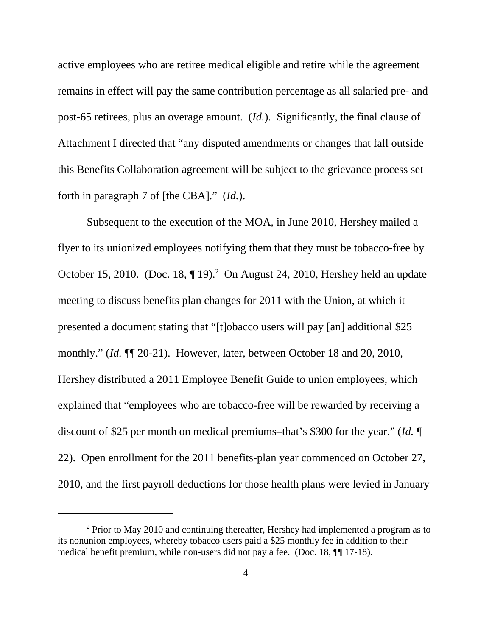active employees who are retiree medical eligible and retire while the agreement remains in effect will pay the same contribution percentage as all salaried pre- and post-65 retirees, plus an overage amount. (*Id.*). Significantly, the final clause of Attachment I directed that "any disputed amendments or changes that fall outside this Benefits Collaboration agreement will be subject to the grievance process set forth in paragraph 7 of [the CBA]." (*Id.*).

Subsequent to the execution of the MOA, in June 2010, Hershey mailed a flyer to its unionized employees notifying them that they must be tobacco-free by October 15, 2010. (Doc. 18,  $\P$  19).<sup>2</sup> On August 24, 2010, Hershey held an update meeting to discuss benefits plan changes for 2011 with the Union, at which it presented a document stating that "[t]obacco users will pay [an] additional \$25 monthly." (*Id.* ¶¶ 20-21). However, later, between October 18 and 20, 2010, Hershey distributed a 2011 Employee Benefit Guide to union employees, which explained that "employees who are tobacco-free will be rewarded by receiving a discount of \$25 per month on medical premiums–that's \$300 for the year." (*Id.* ¶ 22). Open enrollment for the 2011 benefits-plan year commenced on October 27, 2010, and the first payroll deductions for those health plans were levied in January

 $2$  Prior to May 2010 and continuing thereafter, Hershey had implemented a program as to its nonunion employees, whereby tobacco users paid a \$25 monthly fee in addition to their medical benefit premium, while non-users did not pay a fee. (Doc. 18, ¶¶ 17-18).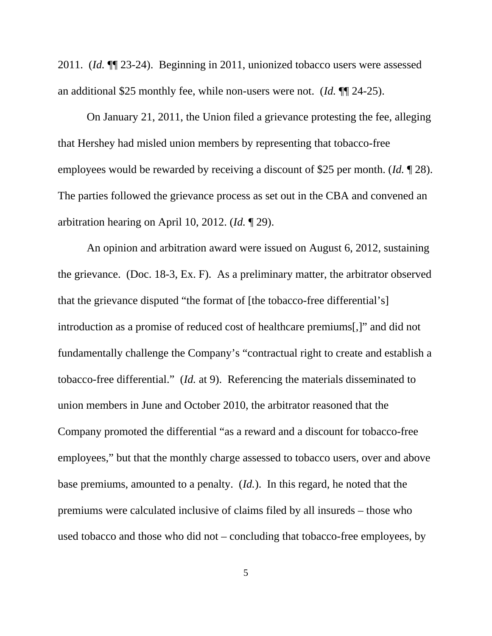2011. (*Id.* ¶¶ 23-24). Beginning in 2011, unionized tobacco users were assessed an additional \$25 monthly fee, while non-users were not. (*Id.* ¶¶ 24-25).

On January 21, 2011, the Union filed a grievance protesting the fee, alleging that Hershey had misled union members by representing that tobacco-free employees would be rewarded by receiving a discount of \$25 per month. (*Id.* ¶ 28). The parties followed the grievance process as set out in the CBA and convened an arbitration hearing on April 10, 2012. (*Id.* ¶ 29).

An opinion and arbitration award were issued on August 6, 2012, sustaining the grievance. (Doc. 18-3, Ex. F). As a preliminary matter, the arbitrator observed that the grievance disputed "the format of [the tobacco-free differential's] introduction as a promise of reduced cost of healthcare premiums[,]" and did not fundamentally challenge the Company's "contractual right to create and establish a tobacco-free differential." (*Id.* at 9). Referencing the materials disseminated to union members in June and October 2010, the arbitrator reasoned that the Company promoted the differential "as a reward and a discount for tobacco-free employees," but that the monthly charge assessed to tobacco users, over and above base premiums, amounted to a penalty. (*Id.*). In this regard, he noted that the premiums were calculated inclusive of claims filed by all insureds – those who used tobacco and those who did not – concluding that tobacco-free employees, by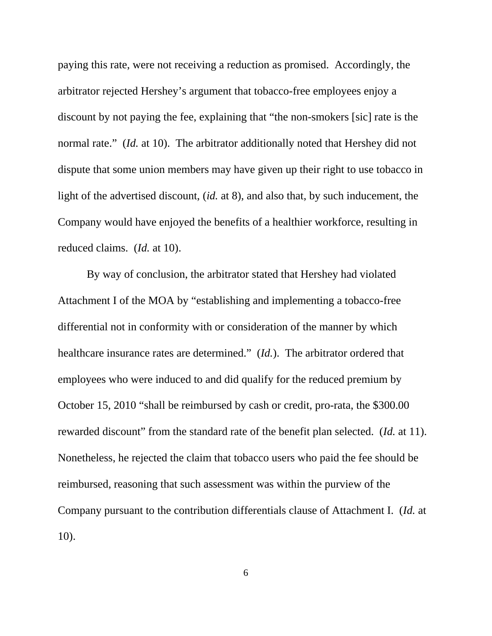paying this rate, were not receiving a reduction as promised. Accordingly, the arbitrator rejected Hershey's argument that tobacco-free employees enjoy a discount by not paying the fee, explaining that "the non-smokers [sic] rate is the normal rate." (*Id.* at 10). The arbitrator additionally noted that Hershey did not dispute that some union members may have given up their right to use tobacco in light of the advertised discount, (*id.* at 8), and also that, by such inducement, the Company would have enjoyed the benefits of a healthier workforce, resulting in reduced claims. (*Id.* at 10).

By way of conclusion, the arbitrator stated that Hershey had violated Attachment I of the MOA by "establishing and implementing a tobacco-free differential not in conformity with or consideration of the manner by which healthcare insurance rates are determined." (*Id.*). The arbitrator ordered that employees who were induced to and did qualify for the reduced premium by October 15, 2010 "shall be reimbursed by cash or credit, pro-rata, the \$300.00 rewarded discount" from the standard rate of the benefit plan selected. (*Id.* at 11). Nonetheless, he rejected the claim that tobacco users who paid the fee should be reimbursed, reasoning that such assessment was within the purview of the Company pursuant to the contribution differentials clause of Attachment I. (*Id.* at 10).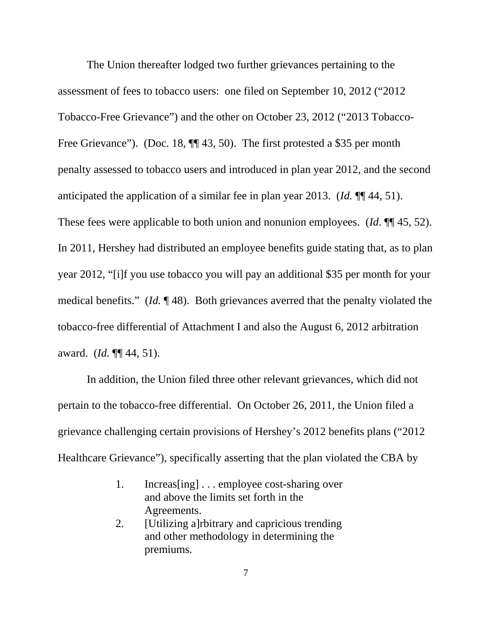The Union thereafter lodged two further grievances pertaining to the assessment of fees to tobacco users: one filed on September 10, 2012 ("2012 Tobacco-Free Grievance") and the other on October 23, 2012 ("2013 Tobacco-Free Grievance"). (Doc. 18,  $\P$  43, 50). The first protested a \$35 per month penalty assessed to tobacco users and introduced in plan year 2012, and the second anticipated the application of a similar fee in plan year 2013. (*Id.* ¶¶ 44, 51). These fees were applicable to both union and nonunion employees. (*Id*. ¶¶ 45, 52). In 2011, Hershey had distributed an employee benefits guide stating that, as to plan year 2012, "[i]f you use tobacco you will pay an additional \$35 per month for your medical benefits." (*Id.* ¶ 48). Both grievances averred that the penalty violated the tobacco-free differential of Attachment I and also the August 6, 2012 arbitration award. (*Id.* ¶¶ 44, 51).

In addition, the Union filed three other relevant grievances, which did not pertain to the tobacco-free differential. On October 26, 2011, the Union filed a grievance challenging certain provisions of Hershey's 2012 benefits plans ("2012 Healthcare Grievance"), specifically asserting that the plan violated the CBA by

- 1. Increas[ing] . . . employee cost-sharing over and above the limits set forth in the Agreements.
- 2. [Utilizing a]rbitrary and capricious trending and other methodology in determining the premiums.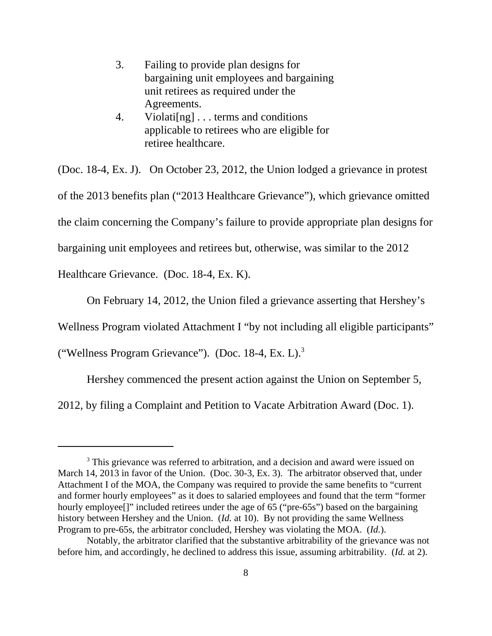- 3. Failing to provide plan designs for bargaining unit employees and bargaining unit retirees as required under the Agreements.
- 4. Violati[ng] . . . terms and conditions applicable to retirees who are eligible for retiree healthcare.

(Doc. 18-4, Ex. J). On October 23, 2012, the Union lodged a grievance in protest of the 2013 benefits plan ("2013 Healthcare Grievance"), which grievance omitted the claim concerning the Company's failure to provide appropriate plan designs for bargaining unit employees and retirees but, otherwise, was similar to the 2012

Healthcare Grievance. (Doc. 18-4, Ex. K).

On February 14, 2012, the Union filed a grievance asserting that Hershey's

Wellness Program violated Attachment I "by not including all eligible participants"

("Wellness Program Grievance"). (Doc. 18-4, Ex. L).<sup>3</sup>

Hershey commenced the present action against the Union on September 5,

2012, by filing a Complaint and Petition to Vacate Arbitration Award (Doc. 1).

<sup>&</sup>lt;sup>3</sup> This grievance was referred to arbitration, and a decision and award were issued on March 14, 2013 in favor of the Union. (Doc. 30-3, Ex. 3). The arbitrator observed that, under Attachment I of the MOA, the Company was required to provide the same benefits to "current and former hourly employees" as it does to salaried employees and found that the term "former hourly employee<sup>[]"</sup> included retirees under the age of 65 ("pre-65s") based on the bargaining history between Hershey and the Union. (*Id.* at 10). By not providing the same Wellness Program to pre-65s, the arbitrator concluded, Hershey was violating the MOA. (*Id.*).

Notably, the arbitrator clarified that the substantive arbitrability of the grievance was not before him, and accordingly, he declined to address this issue, assuming arbitrability. (*Id.* at 2).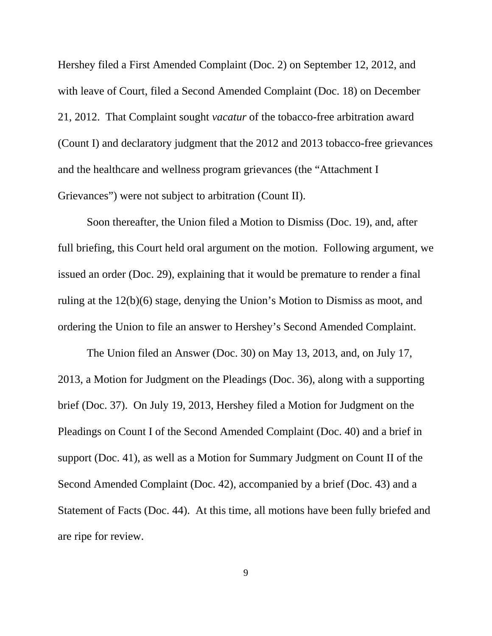Hershey filed a First Amended Complaint (Doc. 2) on September 12, 2012, and with leave of Court, filed a Second Amended Complaint (Doc. 18) on December 21, 2012. That Complaint sought *vacatur* of the tobacco-free arbitration award (Count I) and declaratory judgment that the 2012 and 2013 tobacco-free grievances and the healthcare and wellness program grievances (the "Attachment I Grievances") were not subject to arbitration (Count II).

Soon thereafter, the Union filed a Motion to Dismiss (Doc. 19), and, after full briefing, this Court held oral argument on the motion. Following argument, we issued an order (Doc. 29), explaining that it would be premature to render a final ruling at the 12(b)(6) stage, denying the Union's Motion to Dismiss as moot, and ordering the Union to file an answer to Hershey's Second Amended Complaint.

The Union filed an Answer (Doc. 30) on May 13, 2013, and, on July 17, 2013, a Motion for Judgment on the Pleadings (Doc. 36), along with a supporting brief (Doc. 37). On July 19, 2013, Hershey filed a Motion for Judgment on the Pleadings on Count I of the Second Amended Complaint (Doc. 40) and a brief in support (Doc. 41), as well as a Motion for Summary Judgment on Count II of the Second Amended Complaint (Doc. 42), accompanied by a brief (Doc. 43) and a Statement of Facts (Doc. 44). At this time, all motions have been fully briefed and are ripe for review.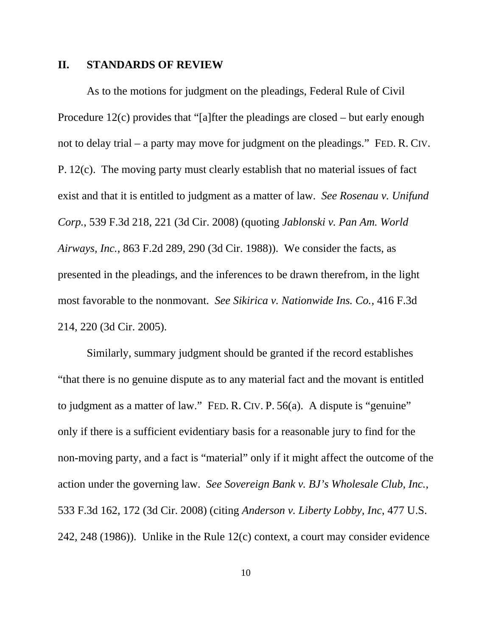### **II. STANDARDS OF REVIEW**

As to the motions for judgment on the pleadings, Federal Rule of Civil Procedure 12(c) provides that "[a]fter the pleadings are closed – but early enough not to delay trial – a party may move for judgment on the pleadings." FED. R. CIV. P. 12(c). The moving party must clearly establish that no material issues of fact exist and that it is entitled to judgment as a matter of law. *See Rosenau v. Unifund Corp.*, 539 F.3d 218, 221 (3d Cir. 2008) (quoting *Jablonski v. Pan Am. World Airways, Inc.*, 863 F.2d 289, 290 (3d Cir. 1988)). We consider the facts, as presented in the pleadings, and the inferences to be drawn therefrom, in the light most favorable to the nonmovant. *See Sikirica v. Nationwide Ins. Co.*, 416 F.3d 214, 220 (3d Cir. 2005).

Similarly, summary judgment should be granted if the record establishes "that there is no genuine dispute as to any material fact and the movant is entitled to judgment as a matter of law." FED. R. CIV. P. 56(a). A dispute is "genuine" only if there is a sufficient evidentiary basis for a reasonable jury to find for the non-moving party, and a fact is "material" only if it might affect the outcome of the action under the governing law. *See Sovereign Bank v. BJ's Wholesale Club, Inc.*, 533 F.3d 162, 172 (3d Cir. 2008) (citing *Anderson v. Liberty Lobby, Inc*, 477 U.S. 242, 248 (1986)). Unlike in the Rule 12(c) context, a court may consider evidence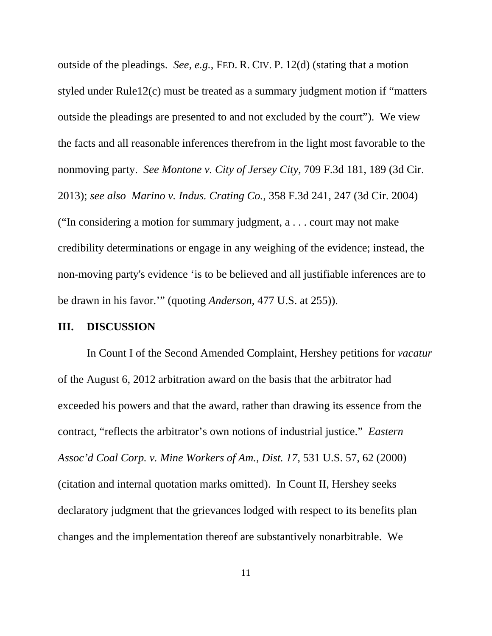outside of the pleadings. *See, e.g.*, FED. R. CIV. P. 12(d) (stating that a motion styled under Rule12(c) must be treated as a summary judgment motion if "matters outside the pleadings are presented to and not excluded by the court"). We view the facts and all reasonable inferences therefrom in the light most favorable to the nonmoving party. *See Montone v. City of Jersey City*, 709 F.3d 181, 189 (3d Cir. 2013); *see also Marino v. Indus. Crating Co.*, 358 F.3d 241, 247 (3d Cir. 2004) ("In considering a motion for summary judgment, a . . . court may not make credibility determinations or engage in any weighing of the evidence; instead, the non-moving party's evidence 'is to be believed and all justifiable inferences are to be drawn in his favor.'" (quoting *Anderson*, 477 U.S. at 255)).

#### **III. DISCUSSION**

In Count I of the Second Amended Complaint, Hershey petitions for *vacatur* of the August 6, 2012 arbitration award on the basis that the arbitrator had exceeded his powers and that the award, rather than drawing its essence from the contract, "reflects the arbitrator's own notions of industrial justice." *Eastern Assoc'd Coal Corp. v. Mine Workers of Am., Dist. 17*, 531 U.S. 57, 62 (2000) (citation and internal quotation marks omitted). In Count II, Hershey seeks declaratory judgment that the grievances lodged with respect to its benefits plan changes and the implementation thereof are substantively nonarbitrable. We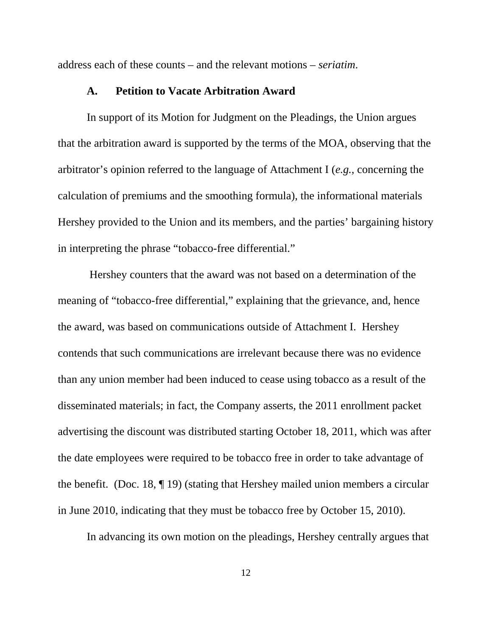address each of these counts – and the relevant motions – *seriatim*.

### **A. Petition to Vacate Arbitration Award**

In support of its Motion for Judgment on the Pleadings, the Union argues that the arbitration award is supported by the terms of the MOA, observing that the arbitrator's opinion referred to the language of Attachment I (*e.g.*, concerning the calculation of premiums and the smoothing formula), the informational materials Hershey provided to the Union and its members, and the parties' bargaining history in interpreting the phrase "tobacco-free differential."

 Hershey counters that the award was not based on a determination of the meaning of "tobacco-free differential," explaining that the grievance, and, hence the award, was based on communications outside of Attachment I. Hershey contends that such communications are irrelevant because there was no evidence than any union member had been induced to cease using tobacco as a result of the disseminated materials; in fact, the Company asserts, the 2011 enrollment packet advertising the discount was distributed starting October 18, 2011, which was after the date employees were required to be tobacco free in order to take advantage of the benefit. (Doc. 18, ¶ 19) (stating that Hershey mailed union members a circular in June 2010, indicating that they must be tobacco free by October 15, 2010).

In advancing its own motion on the pleadings, Hershey centrally argues that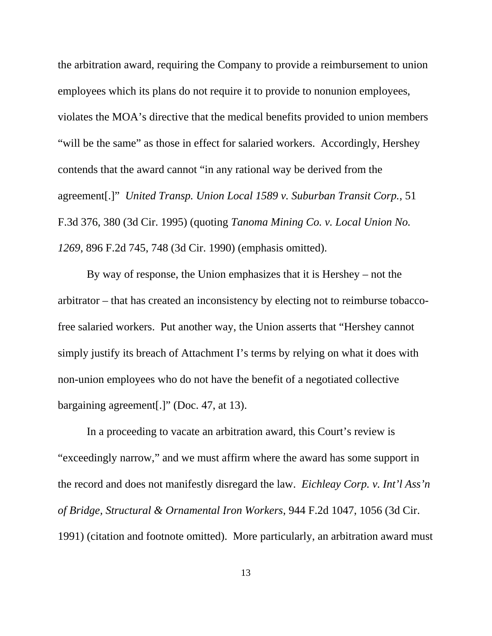the arbitration award, requiring the Company to provide a reimbursement to union employees which its plans do not require it to provide to nonunion employees, violates the MOA's directive that the medical benefits provided to union members "will be the same" as those in effect for salaried workers. Accordingly, Hershey contends that the award cannot "in any rational way be derived from the agreement[.]" *United Transp. Union Local 1589 v. Suburban Transit Corp.*, 51 F.3d 376, 380 (3d Cir. 1995) (quoting *Tanoma Mining Co. v. Local Union No. 1269*, 896 F.2d 745, 748 (3d Cir. 1990) (emphasis omitted).

By way of response, the Union emphasizes that it is Hershey – not the arbitrator – that has created an inconsistency by electing not to reimburse tobaccofree salaried workers. Put another way, the Union asserts that "Hershey cannot simply justify its breach of Attachment I's terms by relying on what it does with non-union employees who do not have the benefit of a negotiated collective bargaining agreement[.]" (Doc. 47, at 13).

In a proceeding to vacate an arbitration award, this Court's review is "exceedingly narrow," and we must affirm where the award has some support in the record and does not manifestly disregard the law. *Eichleay Corp. v. Int'l Ass'n of Bridge, Structural & Ornamental Iron Workers*, 944 F.2d 1047, 1056 (3d Cir. 1991) (citation and footnote omitted). More particularly, an arbitration award must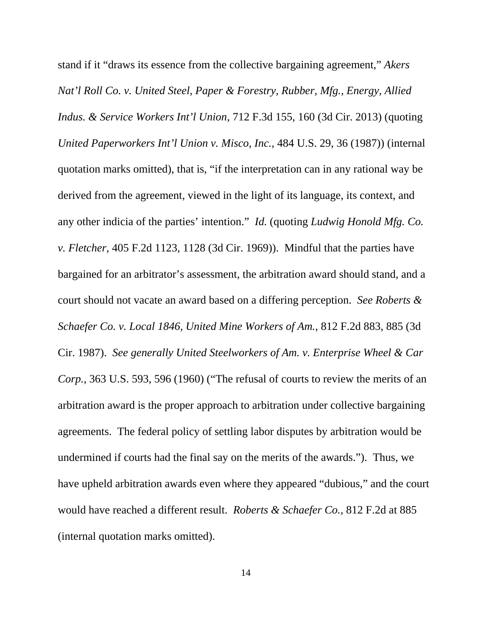stand if it "draws its essence from the collective bargaining agreement," *Akers Nat'l Roll Co. v. United Steel, Paper & Forestry, Rubber, Mfg., Energy, Allied Indus. & Service Workers Int'l Union*, 712 F.3d 155, 160 (3d Cir. 2013) (quoting *United Paperworkers Int'l Union v. Misco, Inc.*, 484 U.S. 29, 36 (1987)) (internal quotation marks omitted), that is, "if the interpretation can in any rational way be derived from the agreement, viewed in the light of its language, its context, and any other indicia of the parties' intention." *Id.* (quoting *Ludwig Honold Mfg. Co. v. Fletcher*, 405 F.2d 1123, 1128 (3d Cir. 1969)). Mindful that the parties have bargained for an arbitrator's assessment, the arbitration award should stand, and a court should not vacate an award based on a differing perception. *See Roberts & Schaefer Co. v. Local 1846, United Mine Workers of Am.*, 812 F.2d 883, 885 (3d Cir. 1987). *See generally United Steelworkers of Am. v. Enterprise Wheel & Car Corp.*, 363 U.S. 593, 596 (1960) ("The refusal of courts to review the merits of an arbitration award is the proper approach to arbitration under collective bargaining agreements. The federal policy of settling labor disputes by arbitration would be undermined if courts had the final say on the merits of the awards."). Thus, we have upheld arbitration awards even where they appeared "dubious," and the court would have reached a different result. *Roberts & Schaefer Co.*, 812 F.2d at 885 (internal quotation marks omitted).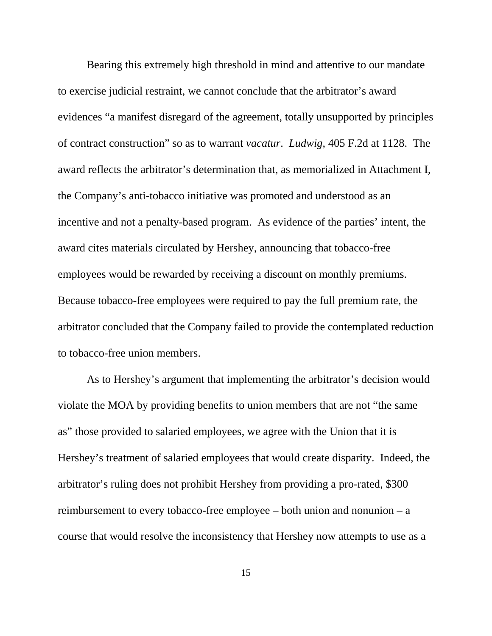Bearing this extremely high threshold in mind and attentive to our mandate to exercise judicial restraint, we cannot conclude that the arbitrator's award evidences "a manifest disregard of the agreement, totally unsupported by principles of contract construction" so as to warrant *vacatur*. *Ludwig*, 405 F.2d at 1128. The award reflects the arbitrator's determination that, as memorialized in Attachment I, the Company's anti-tobacco initiative was promoted and understood as an incentive and not a penalty-based program. As evidence of the parties' intent, the award cites materials circulated by Hershey, announcing that tobacco-free employees would be rewarded by receiving a discount on monthly premiums. Because tobacco-free employees were required to pay the full premium rate, the arbitrator concluded that the Company failed to provide the contemplated reduction to tobacco-free union members.

As to Hershey's argument that implementing the arbitrator's decision would violate the MOA by providing benefits to union members that are not "the same as" those provided to salaried employees, we agree with the Union that it is Hershey's treatment of salaried employees that would create disparity. Indeed, the arbitrator's ruling does not prohibit Hershey from providing a pro-rated, \$300 reimbursement to every tobacco-free employee – both union and nonunion – a course that would resolve the inconsistency that Hershey now attempts to use as a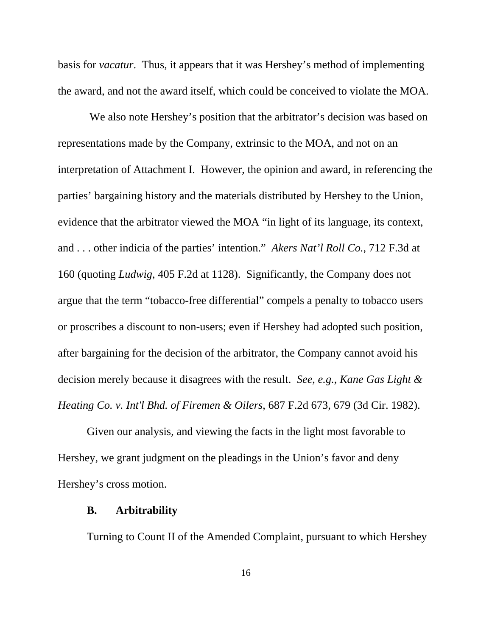basis for *vacatur*. Thus, it appears that it was Hershey's method of implementing the award, and not the award itself, which could be conceived to violate the MOA.

 We also note Hershey's position that the arbitrator's decision was based on representations made by the Company, extrinsic to the MOA, and not on an interpretation of Attachment I. However, the opinion and award, in referencing the parties' bargaining history and the materials distributed by Hershey to the Union, evidence that the arbitrator viewed the MOA "in light of its language, its context, and . . . other indicia of the parties' intention." *Akers Nat'l Roll Co.*, 712 F.3d at 160 (quoting *Ludwig*, 405 F.2d at 1128). Significantly, the Company does not argue that the term "tobacco-free differential" compels a penalty to tobacco users or proscribes a discount to non-users; even if Hershey had adopted such position, after bargaining for the decision of the arbitrator, the Company cannot avoid his decision merely because it disagrees with the result. *See*, *e.g.*, *Kane Gas Light & Heating Co. v. Int'l Bhd. of Firemen & Oilers*, 687 F.2d 673, 679 (3d Cir. 1982).

Given our analysis, and viewing the facts in the light most favorable to Hershey, we grant judgment on the pleadings in the Union's favor and deny Hershey's cross motion.

### **B. Arbitrability**

Turning to Count II of the Amended Complaint, pursuant to which Hershey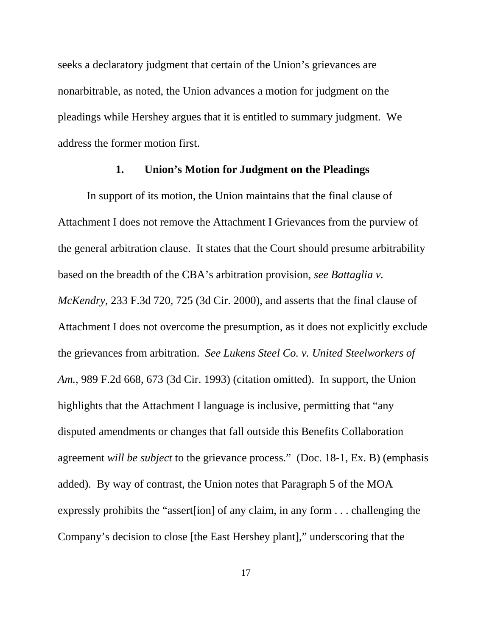seeks a declaratory judgment that certain of the Union's grievances are nonarbitrable, as noted, the Union advances a motion for judgment on the pleadings while Hershey argues that it is entitled to summary judgment. We address the former motion first.

## **1. Union's Motion for Judgment on the Pleadings**

In support of its motion, the Union maintains that the final clause of Attachment I does not remove the Attachment I Grievances from the purview of the general arbitration clause. It states that the Court should presume arbitrability based on the breadth of the CBA's arbitration provision, *see Battaglia v. McKendry*, 233 F.3d 720, 725 (3d Cir. 2000), and asserts that the final clause of Attachment I does not overcome the presumption, as it does not explicitly exclude the grievances from arbitration. *See Lukens Steel Co. v. United Steelworkers of Am.*, 989 F.2d 668, 673 (3d Cir. 1993) (citation omitted). In support, the Union highlights that the Attachment I language is inclusive, permitting that "any disputed amendments or changes that fall outside this Benefits Collaboration agreement *will be subject* to the grievance process." (Doc. 18-1, Ex. B) (emphasis added). By way of contrast, the Union notes that Paragraph 5 of the MOA expressly prohibits the "assert[ion] of any claim, in any form . . . challenging the Company's decision to close [the East Hershey plant]," underscoring that the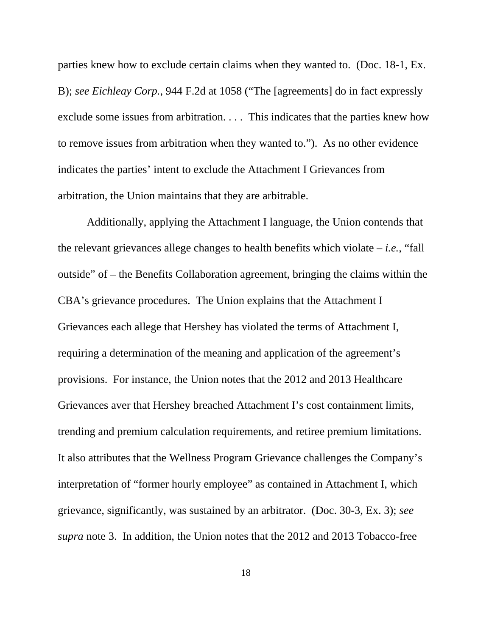parties knew how to exclude certain claims when they wanted to. (Doc. 18-1, Ex. B); *see Eichleay Corp.*, 944 F.2d at 1058 ("The [agreements] do in fact expressly exclude some issues from arbitration. . . . This indicates that the parties knew how to remove issues from arbitration when they wanted to."). As no other evidence indicates the parties' intent to exclude the Attachment I Grievances from arbitration, the Union maintains that they are arbitrable.

Additionally, applying the Attachment I language, the Union contends that the relevant grievances allege changes to health benefits which violate – *i.e.*, "fall outside" of – the Benefits Collaboration agreement, bringing the claims within the CBA's grievance procedures. The Union explains that the Attachment I Grievances each allege that Hershey has violated the terms of Attachment I, requiring a determination of the meaning and application of the agreement's provisions. For instance, the Union notes that the 2012 and 2013 Healthcare Grievances aver that Hershey breached Attachment I's cost containment limits, trending and premium calculation requirements, and retiree premium limitations. It also attributes that the Wellness Program Grievance challenges the Company's interpretation of "former hourly employee" as contained in Attachment I, which grievance, significantly, was sustained by an arbitrator. (Doc. 30-3, Ex. 3); *see supra* note 3. In addition, the Union notes that the 2012 and 2013 Tobacco-free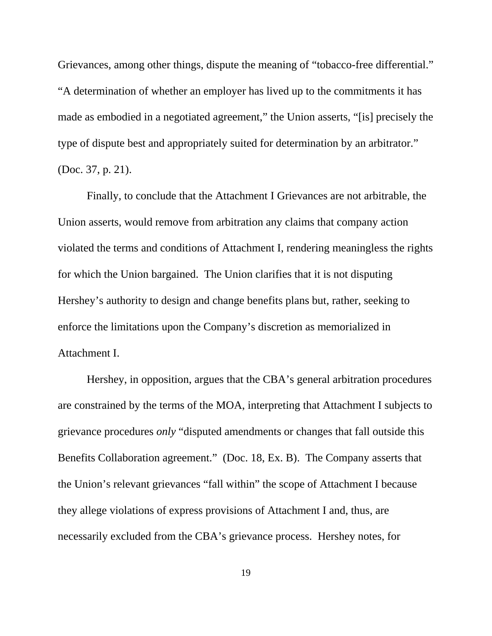Grievances, among other things, dispute the meaning of "tobacco-free differential." "A determination of whether an employer has lived up to the commitments it has made as embodied in a negotiated agreement," the Union asserts, "[is] precisely the type of dispute best and appropriately suited for determination by an arbitrator." (Doc. 37, p. 21).

Finally, to conclude that the Attachment I Grievances are not arbitrable, the Union asserts, would remove from arbitration any claims that company action violated the terms and conditions of Attachment I, rendering meaningless the rights for which the Union bargained. The Union clarifies that it is not disputing Hershey's authority to design and change benefits plans but, rather, seeking to enforce the limitations upon the Company's discretion as memorialized in Attachment I.

Hershey, in opposition, argues that the CBA's general arbitration procedures are constrained by the terms of the MOA, interpreting that Attachment I subjects to grievance procedures *only* "disputed amendments or changes that fall outside this Benefits Collaboration agreement." (Doc. 18, Ex. B). The Company asserts that the Union's relevant grievances "fall within" the scope of Attachment I because they allege violations of express provisions of Attachment I and, thus, are necessarily excluded from the CBA's grievance process. Hershey notes, for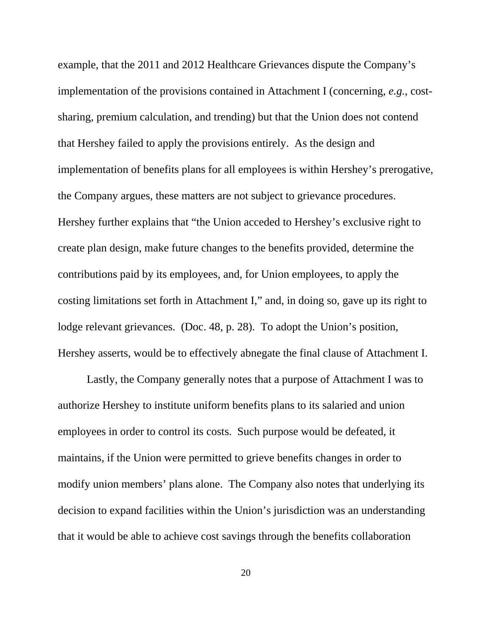example, that the 2011 and 2012 Healthcare Grievances dispute the Company's implementation of the provisions contained in Attachment I (concerning, *e.g.*, costsharing, premium calculation, and trending) but that the Union does not contend that Hershey failed to apply the provisions entirely. As the design and implementation of benefits plans for all employees is within Hershey's prerogative, the Company argues, these matters are not subject to grievance procedures. Hershey further explains that "the Union acceded to Hershey's exclusive right to create plan design, make future changes to the benefits provided, determine the contributions paid by its employees, and, for Union employees, to apply the costing limitations set forth in Attachment I," and, in doing so, gave up its right to lodge relevant grievances. (Doc. 48, p. 28). To adopt the Union's position, Hershey asserts, would be to effectively abnegate the final clause of Attachment I.

Lastly, the Company generally notes that a purpose of Attachment I was to authorize Hershey to institute uniform benefits plans to its salaried and union employees in order to control its costs. Such purpose would be defeated, it maintains, if the Union were permitted to grieve benefits changes in order to modify union members' plans alone. The Company also notes that underlying its decision to expand facilities within the Union's jurisdiction was an understanding that it would be able to achieve cost savings through the benefits collaboration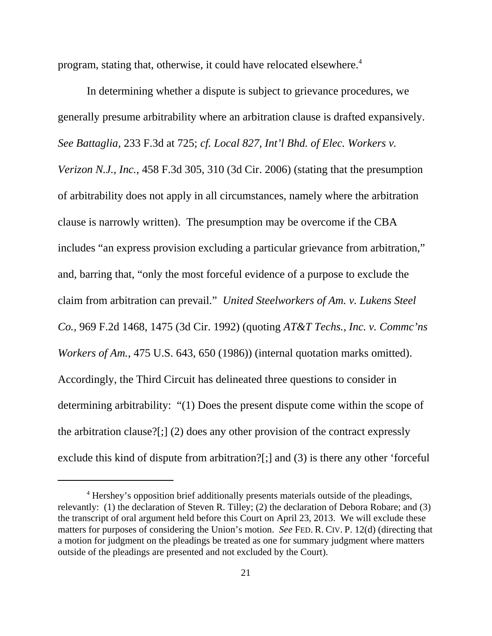program, stating that, otherwise, it could have relocated elsewhere.<sup>4</sup>

In determining whether a dispute is subject to grievance procedures, we generally presume arbitrability where an arbitration clause is drafted expansively. *See Battaglia*, 233 F.3d at 725; *cf. Local 827, Int'l Bhd. of Elec. Workers v. Verizon N.J., Inc.*, 458 F.3d 305, 310 (3d Cir. 2006) (stating that the presumption of arbitrability does not apply in all circumstances, namely where the arbitration clause is narrowly written). The presumption may be overcome if the CBA includes "an express provision excluding a particular grievance from arbitration," and, barring that, "only the most forceful evidence of a purpose to exclude the claim from arbitration can prevail." *United Steelworkers of Am. v. Lukens Steel Co.,* 969 F.2d 1468, 1475 (3d Cir. 1992) (quoting *AT&T Techs., Inc. v. Commc'ns Workers of Am.*, 475 U.S. 643, 650 (1986)) (internal quotation marks omitted). Accordingly, the Third Circuit has delineated three questions to consider in determining arbitrability: "(1) Does the present dispute come within the scope of the arbitration clause?[;] (2) does any other provision of the contract expressly exclude this kind of dispute from arbitration?[;] and (3) is there any other 'forceful

<sup>&</sup>lt;sup>4</sup> Hershey's opposition brief additionally presents materials outside of the pleadings, relevantly: (1) the declaration of Steven R. Tilley; (2) the declaration of Debora Robare; and (3) the transcript of oral argument held before this Court on April 23, 2013. We will exclude these matters for purposes of considering the Union's motion. *See* FED. R. CIV. P. 12(d) (directing that a motion for judgment on the pleadings be treated as one for summary judgment where matters outside of the pleadings are presented and not excluded by the Court).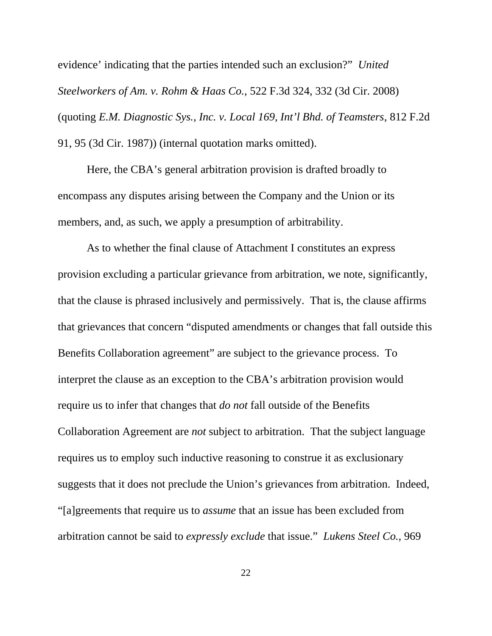evidence' indicating that the parties intended such an exclusion?" *United Steelworkers of Am. v. Rohm & Haas Co.*, 522 F.3d 324, 332 (3d Cir. 2008) (quoting *E.M. Diagnostic Sys., Inc. v. Local 169, Int'l Bhd. of Teamsters*, 812 F.2d 91, 95 (3d Cir. 1987)) (internal quotation marks omitted).

Here, the CBA's general arbitration provision is drafted broadly to encompass any disputes arising between the Company and the Union or its members, and, as such, we apply a presumption of arbitrability.

As to whether the final clause of Attachment I constitutes an express provision excluding a particular grievance from arbitration, we note, significantly, that the clause is phrased inclusively and permissively. That is, the clause affirms that grievances that concern "disputed amendments or changes that fall outside this Benefits Collaboration agreement" are subject to the grievance process. To interpret the clause as an exception to the CBA's arbitration provision would require us to infer that changes that *do not* fall outside of the Benefits Collaboration Agreement are *not* subject to arbitration. That the subject language requires us to employ such inductive reasoning to construe it as exclusionary suggests that it does not preclude the Union's grievances from arbitration. Indeed, "[a]greements that require us to *assume* that an issue has been excluded from arbitration cannot be said to *expressly exclude* that issue." *Lukens Steel Co.,* 969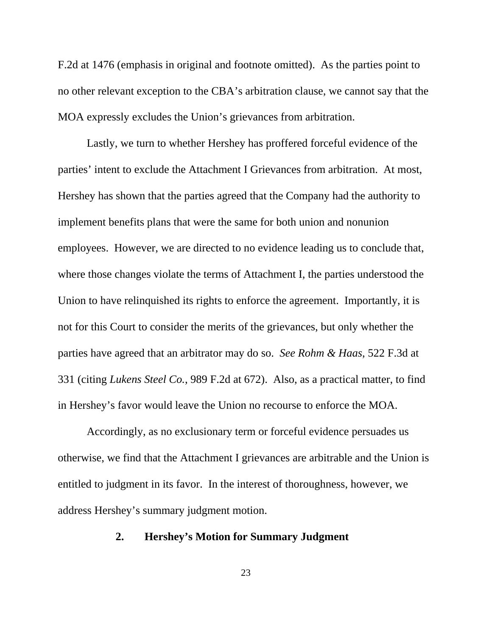F.2d at 1476 (emphasis in original and footnote omitted). As the parties point to no other relevant exception to the CBA's arbitration clause, we cannot say that the MOA expressly excludes the Union's grievances from arbitration.

Lastly, we turn to whether Hershey has proffered forceful evidence of the parties' intent to exclude the Attachment I Grievances from arbitration. At most, Hershey has shown that the parties agreed that the Company had the authority to implement benefits plans that were the same for both union and nonunion employees. However, we are directed to no evidence leading us to conclude that, where those changes violate the terms of Attachment I, the parties understood the Union to have relinquished its rights to enforce the agreement. Importantly, it is not for this Court to consider the merits of the grievances, but only whether the parties have agreed that an arbitrator may do so. *See Rohm & Haas*, 522 F.3d at 331 (citing *Lukens Steel Co.*, 989 F.2d at 672). Also, as a practical matter, to find in Hershey's favor would leave the Union no recourse to enforce the MOA.

Accordingly, as no exclusionary term or forceful evidence persuades us otherwise, we find that the Attachment I grievances are arbitrable and the Union is entitled to judgment in its favor. In the interest of thoroughness, however, we address Hershey's summary judgment motion.

# **2. Hershey's Motion for Summary Judgment**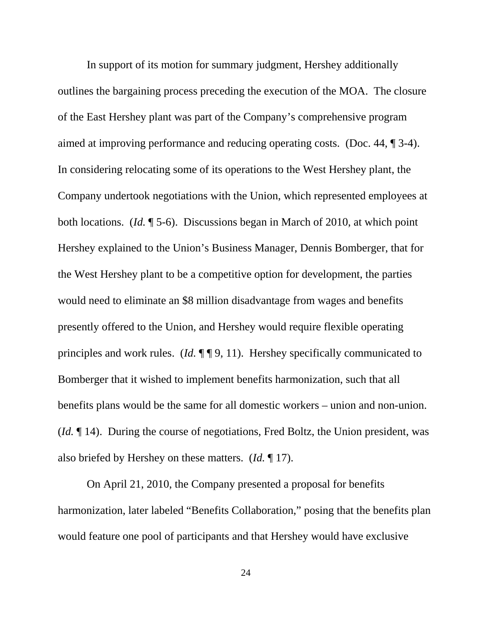In support of its motion for summary judgment, Hershey additionally outlines the bargaining process preceding the execution of the MOA. The closure of the East Hershey plant was part of the Company's comprehensive program aimed at improving performance and reducing operating costs. (Doc. 44, ¶ 3-4). In considering relocating some of its operations to the West Hershey plant, the Company undertook negotiations with the Union, which represented employees at both locations. (*Id.* ¶ 5-6). Discussions began in March of 2010, at which point Hershey explained to the Union's Business Manager, Dennis Bomberger, that for the West Hershey plant to be a competitive option for development, the parties would need to eliminate an \$8 million disadvantage from wages and benefits presently offered to the Union, and Hershey would require flexible operating principles and work rules. (*Id.* ¶ ¶ 9, 11). Hershey specifically communicated to Bomberger that it wished to implement benefits harmonization, such that all benefits plans would be the same for all domestic workers – union and non-union. (*Id.* ¶ 14). During the course of negotiations, Fred Boltz, the Union president, was also briefed by Hershey on these matters. (*Id.* ¶ 17).

On April 21, 2010, the Company presented a proposal for benefits harmonization, later labeled "Benefits Collaboration," posing that the benefits plan would feature one pool of participants and that Hershey would have exclusive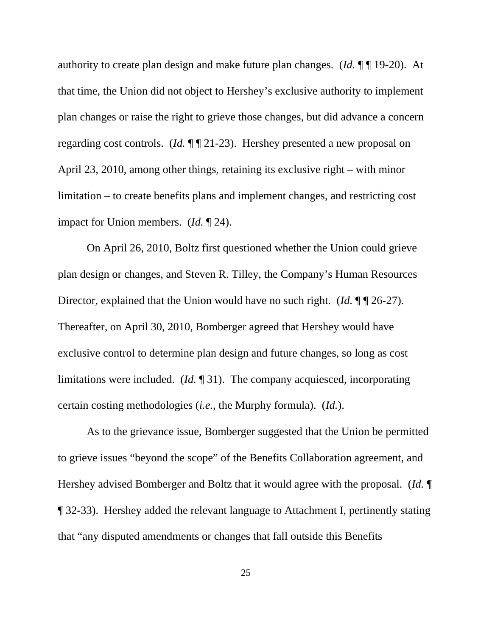authority to create plan design and make future plan changes. (*Id.* ¶ ¶ 19-20). At that time, the Union did not object to Hershey's exclusive authority to implement plan changes or raise the right to grieve those changes, but did advance a concern regarding cost controls. (*Id.*  $\P$  **1** 21-23). Hershey presented a new proposal on April 23, 2010, among other things, retaining its exclusive right – with minor limitation – to create benefits plans and implement changes, and restricting cost impact for Union members. (*Id.* ¶ 24).

On April 26, 2010, Boltz first questioned whether the Union could grieve plan design or changes, and Steven R. Tilley, the Company's Human Resources Director, explained that the Union would have no such right. (*Id.* ¶ | 26-27). Thereafter, on April 30, 2010, Bomberger agreed that Hershey would have exclusive control to determine plan design and future changes, so long as cost limitations were included. (*Id.* ¶ 31). The company acquiesced, incorporating certain costing methodologies (*i.e.*, the Murphy formula). (*Id.*).

As to the grievance issue, Bomberger suggested that the Union be permitted to grieve issues "beyond the scope" of the Benefits Collaboration agreement, and Hershey advised Bomberger and Boltz that it would agree with the proposal. (*Id.* ¶ ¶ 32-33). Hershey added the relevant language to Attachment I, pertinently stating that "any disputed amendments or changes that fall outside this Benefits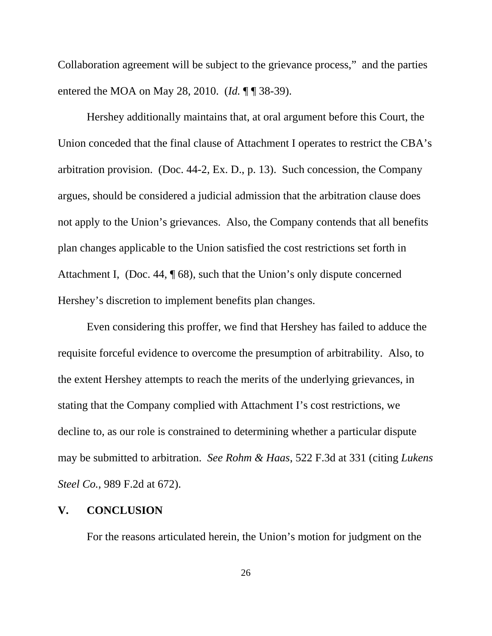Collaboration agreement will be subject to the grievance process," and the parties entered the MOA on May 28, 2010. (*Id.* ¶ ¶ 38-39).

Hershey additionally maintains that, at oral argument before this Court, the Union conceded that the final clause of Attachment I operates to restrict the CBA's arbitration provision. (Doc. 44-2, Ex. D., p. 13). Such concession, the Company argues, should be considered a judicial admission that the arbitration clause does not apply to the Union's grievances. Also, the Company contends that all benefits plan changes applicable to the Union satisfied the cost restrictions set forth in Attachment I, (Doc. 44, ¶ 68), such that the Union's only dispute concerned Hershey's discretion to implement benefits plan changes.

Even considering this proffer, we find that Hershey has failed to adduce the requisite forceful evidence to overcome the presumption of arbitrability. Also, to the extent Hershey attempts to reach the merits of the underlying grievances, in stating that the Company complied with Attachment I's cost restrictions, we decline to, as our role is constrained to determining whether a particular dispute may be submitted to arbitration. *See Rohm & Haas*, 522 F.3d at 331 (citing *Lukens Steel Co.*, 989 F.2d at 672).

# **V. CONCLUSION**

For the reasons articulated herein, the Union's motion for judgment on the